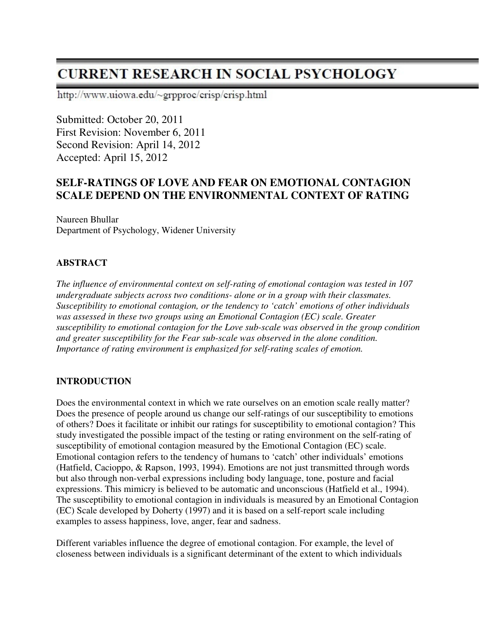# **CURRENT RESEARCH IN SOCIAL PSYCHOLOGY**

http://www.uiowa.edu/~grpproc/crisp/crisp.html

Submitted: October 20, 2011 First Revision: November 6, 2011 Second Revision: April 14, 2012 Accepted: April 15, 2012

# **SELF-RATINGS OF LOVE AND FEAR ON EMOTIONAL CONTAGION SCALE DEPEND ON THE ENVIRONMENTAL CONTEXT OF RATING**

Naureen Bhullar Department of Psychology, Widener University

# **ABSTRACT**

*The influence of environmental context on self-rating of emotional contagion was tested in 107 undergraduate subjects across two conditions- alone or in a group with their classmates. Susceptibility to emotional contagion, or the tendency to 'catch' emotions of other individuals was assessed in these two groups using an Emotional Contagion (EC) scale. Greater susceptibility to emotional contagion for the Love sub-scale was observed in the group condition and greater susceptibility for the Fear sub-scale was observed in the alone condition. Importance of rating environment is emphasized for self-rating scales of emotion.* 

# **INTRODUCTION**

Does the environmental context in which we rate ourselves on an emotion scale really matter? Does the presence of people around us change our self-ratings of our susceptibility to emotions of others? Does it facilitate or inhibit our ratings for susceptibility to emotional contagion? This study investigated the possible impact of the testing or rating environment on the self-rating of susceptibility of emotional contagion measured by the Emotional Contagion (EC) scale. Emotional contagion refers to the tendency of humans to 'catch' other individuals' emotions (Hatfield, Cacioppo, & Rapson, 1993, 1994). Emotions are not just transmitted through words but also through non-verbal expressions including body language, tone, posture and facial expressions. This mimicry is believed to be automatic and unconscious (Hatfield et al., 1994). The susceptibility to emotional contagion in individuals is measured by an Emotional Contagion (EC) Scale developed by Doherty (1997) and it is based on a self-report scale including examples to assess happiness, love, anger, fear and sadness.

Different variables influence the degree of emotional contagion. For example, the level of closeness between individuals is a significant determinant of the extent to which individuals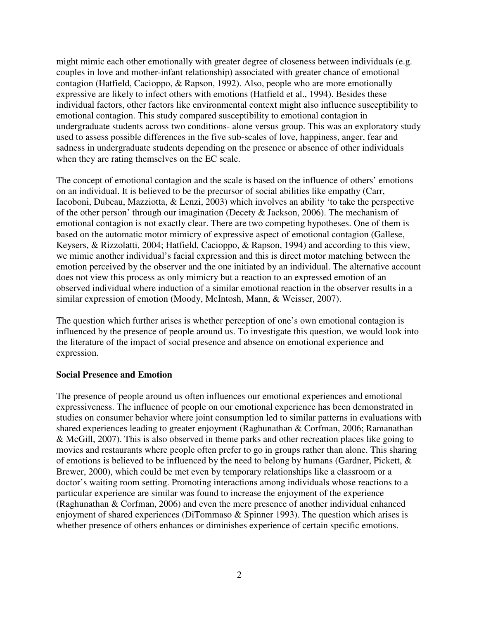might mimic each other emotionally with greater degree of closeness between individuals (e.g. couples in love and mother-infant relationship) associated with greater chance of emotional contagion (Hatfield, Cacioppo, & Rapson, 1992). Also, people who are more emotionally expressive are likely to infect others with emotions (Hatfield et al., 1994). Besides these individual factors, other factors like environmental context might also influence susceptibility to emotional contagion. This study compared susceptibility to emotional contagion in undergraduate students across two conditions- alone versus group. This was an exploratory study used to assess possible differences in the five sub-scales of love, happiness, anger, fear and sadness in undergraduate students depending on the presence or absence of other individuals when they are rating themselves on the EC scale.

The concept of emotional contagion and the scale is based on the influence of others' emotions on an individual. It is believed to be the precursor of social abilities like empathy (Carr, Iacoboni, Dubeau, Mazziotta, & Lenzi, 2003) which involves an ability 'to take the perspective of the other person' through our imagination (Decety & Jackson, 2006). The mechanism of emotional contagion is not exactly clear. There are two competing hypotheses. One of them is based on the automatic motor mimicry of expressive aspect of emotional contagion (Gallese, Keysers, & Rizzolatti, 2004; Hatfield, Cacioppo, & Rapson, 1994) and according to this view, we mimic another individual's facial expression and this is direct motor matching between the emotion perceived by the observer and the one initiated by an individual. The alternative account does not view this process as only mimicry but a reaction to an expressed emotion of an observed individual where induction of a similar emotional reaction in the observer results in a similar expression of emotion (Moody, McIntosh, Mann, & Weisser, 2007).

The question which further arises is whether perception of one's own emotional contagion is influenced by the presence of people around us. To investigate this question, we would look into the literature of the impact of social presence and absence on emotional experience and expression.

### **Social Presence and Emotion**

The presence of people around us often influences our emotional experiences and emotional expressiveness. The influence of people on our emotional experience has been demonstrated in studies on consumer behavior where joint consumption led to similar patterns in evaluations with shared experiences leading to greater enjoyment (Raghunathan & Corfman, 2006; Ramanathan & McGill, 2007). This is also observed in theme parks and other recreation places like going to movies and restaurants where people often prefer to go in groups rather than alone. This sharing of emotions is believed to be influenced by the need to belong by humans (Gardner, Pickett, & Brewer, 2000), which could be met even by temporary relationships like a classroom or a doctor's waiting room setting. Promoting interactions among individuals whose reactions to a particular experience are similar was found to increase the enjoyment of the experience (Raghunathan & Corfman, 2006) and even the mere presence of another individual enhanced enjoyment of shared experiences (DiTommaso & Spinner 1993). The question which arises is whether presence of others enhances or diminishes experience of certain specific emotions.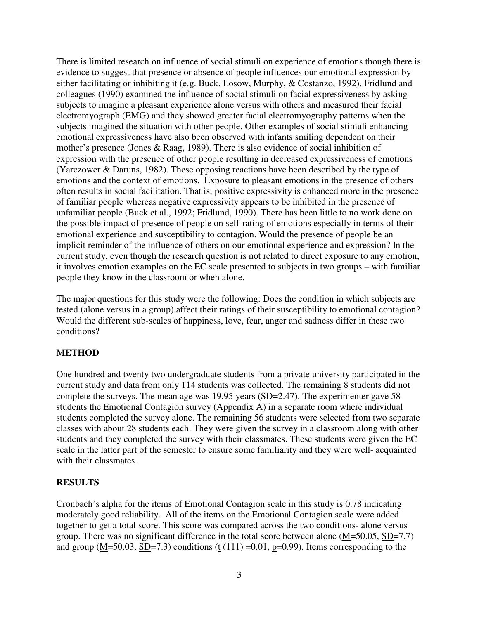There is limited research on influence of social stimuli on experience of emotions though there is evidence to suggest that presence or absence of people influences our emotional expression by either facilitating or inhibiting it (e.g. Buck, Losow, Murphy, & Costanzo, 1992). Fridlund and colleagues (1990) examined the influence of social stimuli on facial expressiveness by asking subjects to imagine a pleasant experience alone versus with others and measured their facial electromyograph (EMG) and they showed greater facial electromyography patterns when the subjects imagined the situation with other people. Other examples of social stimuli enhancing emotional expressiveness have also been observed with infants smiling dependent on their mother's presence (Jones & Raag, 1989). There is also evidence of social inhibition of expression with the presence of other people resulting in decreased expressiveness of emotions (Yarczower & Daruns, 1982). These opposing reactions have been described by the type of emotions and the context of emotions. Exposure to pleasant emotions in the presence of others often results in social facilitation. That is, positive expressivity is enhanced more in the presence of familiar people whereas negative expressivity appears to be inhibited in the presence of unfamiliar people (Buck et al., 1992; Fridlund, 1990). There has been little to no work done on the possible impact of presence of people on self-rating of emotions especially in terms of their emotional experience and susceptibility to contagion. Would the presence of people be an implicit reminder of the influence of others on our emotional experience and expression? In the current study, even though the research question is not related to direct exposure to any emotion, it involves emotion examples on the EC scale presented to subjects in two groups – with familiar people they know in the classroom or when alone.

The major questions for this study were the following: Does the condition in which subjects are tested (alone versus in a group) affect their ratings of their susceptibility to emotional contagion? Would the different sub-scales of happiness, love, fear, anger and sadness differ in these two conditions?

### **METHOD**

One hundred and twenty two undergraduate students from a private university participated in the current study and data from only 114 students was collected. The remaining 8 students did not complete the surveys. The mean age was 19.95 years (SD=2.47). The experimenter gave 58 students the Emotional Contagion survey (Appendix A) in a separate room where individual students completed the survey alone. The remaining 56 students were selected from two separate classes with about 28 students each. They were given the survey in a classroom along with other students and they completed the survey with their classmates. These students were given the EC scale in the latter part of the semester to ensure some familiarity and they were well- acquainted with their classmates.

#### **RESULTS**

Cronbach's alpha for the items of Emotional Contagion scale in this study is 0.78 indicating moderately good reliability. All of the items on the Emotional Contagion scale were added together to get a total score. This score was compared across the two conditions- alone versus group. There was no significant difference in the total score between alone  $(M=50.05, SD=7.7)$ and group (M=50.03, SD=7.3) conditions (t  $(111)$  =0.01, p=0.99). Items corresponding to the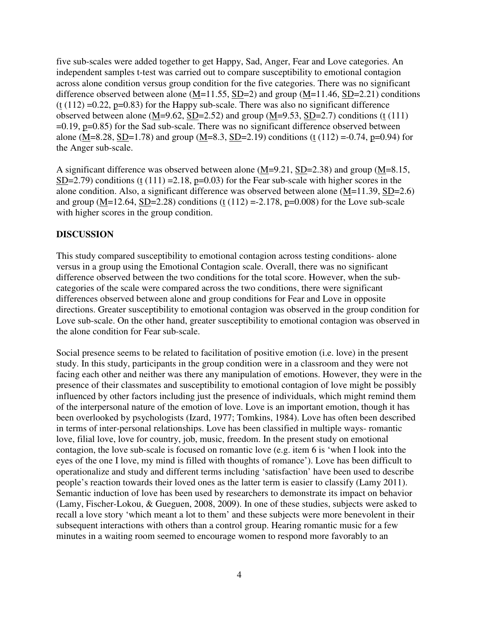five sub-scales were added together to get Happy, Sad, Anger, Fear and Love categories. An independent samples t-test was carried out to compare susceptibility to emotional contagion across alone condition versus group condition for the five categories. There was no significant difference observed between alone  $(M=11.55, SD=2)$  and group  $(M=11.46, SD=2.21)$  conditions  $(t (112) = 0.22, p=0.83)$  for the Happy sub-scale. There was also no significant difference observed between alone (M=9.62, SD=2.52) and group (M=9.53, SD=2.7) conditions (t  $(111)$ )  $=0.19$ ,  $p=0.85$ ) for the Sad sub-scale. There was no significant difference observed between alone (M=8.28, SD=1.78) and group (M=8.3, SD=2.19) conditions (t (112) =-0.74, p=0.94) for the Anger sub-scale.

A significant difference was observed between alone (M=9.21, SD=2.38) and group (M=8.15,  $SD=2.79$ ) conditions (t (111) = 2.18, p=0.03) for the Fear sub-scale with higher scores in the alone condition. Also, a significant difference was observed between alone (M=11.39, SD=2.6) and group (M=12.64, SD=2.28) conditions (t (112) =-2.178, p=0.008) for the Love sub-scale with higher scores in the group condition.

# **DISCUSSION**

This study compared susceptibility to emotional contagion across testing conditions- alone versus in a group using the Emotional Contagion scale. Overall, there was no significant difference observed between the two conditions for the total score. However, when the subcategories of the scale were compared across the two conditions, there were significant differences observed between alone and group conditions for Fear and Love in opposite directions. Greater susceptibility to emotional contagion was observed in the group condition for Love sub-scale. On the other hand, greater susceptibility to emotional contagion was observed in the alone condition for Fear sub-scale.

Social presence seems to be related to facilitation of positive emotion (i.e. love) in the present study. In this study, participants in the group condition were in a classroom and they were not facing each other and neither was there any manipulation of emotions. However, they were in the presence of their classmates and susceptibility to emotional contagion of love might be possibly influenced by other factors including just the presence of individuals, which might remind them of the interpersonal nature of the emotion of love. Love is an important emotion, though it has been overlooked by psychologists (Izard, 1977; Tomkins, 1984). Love has often been described in terms of inter-personal relationships. Love has been classified in multiple ways- romantic love, filial love, love for country, job, music, freedom. In the present study on emotional contagion, the love sub-scale is focused on romantic love (e.g. item 6 is 'when I look into the eyes of the one I love, my mind is filled with thoughts of romance'). Love has been difficult to operationalize and study and different terms including 'satisfaction' have been used to describe people's reaction towards their loved ones as the latter term is easier to classify (Lamy 2011). Semantic induction of love has been used by researchers to demonstrate its impact on behavior (Lamy, Fischer-Lokou, & Gueguen, 2008, 2009). In one of these studies, subjects were asked to recall a love story 'which meant a lot to them' and these subjects were more benevolent in their subsequent interactions with others than a control group. Hearing romantic music for a few minutes in a waiting room seemed to encourage women to respond more favorably to an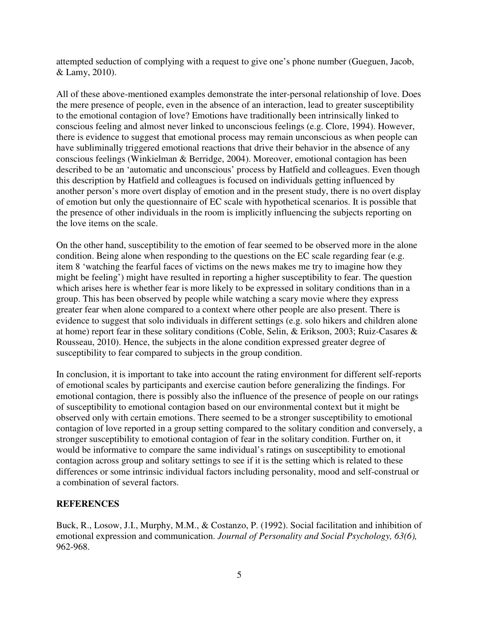attempted seduction of complying with a request to give one's phone number (Gueguen, Jacob, & Lamy, 2010).

All of these above-mentioned examples demonstrate the inter-personal relationship of love. Does the mere presence of people, even in the absence of an interaction, lead to greater susceptibility to the emotional contagion of love? Emotions have traditionally been intrinsically linked to conscious feeling and almost never linked to unconscious feelings (e.g. Clore, 1994). However, there is evidence to suggest that emotional process may remain unconscious as when people can have subliminally triggered emotional reactions that drive their behavior in the absence of any conscious feelings (Winkielman & Berridge, 2004). Moreover, emotional contagion has been described to be an 'automatic and unconscious' process by Hatfield and colleagues. Even though this description by Hatfield and colleagues is focused on individuals getting influenced by another person's more overt display of emotion and in the present study, there is no overt display of emotion but only the questionnaire of EC scale with hypothetical scenarios. It is possible that the presence of other individuals in the room is implicitly influencing the subjects reporting on the love items on the scale.

On the other hand, susceptibility to the emotion of fear seemed to be observed more in the alone condition. Being alone when responding to the questions on the EC scale regarding fear (e.g. item 8 'watching the fearful faces of victims on the news makes me try to imagine how they might be feeling') might have resulted in reporting a higher susceptibility to fear. The question which arises here is whether fear is more likely to be expressed in solitary conditions than in a group. This has been observed by people while watching a scary movie where they express greater fear when alone compared to a context where other people are also present. There is evidence to suggest that solo individuals in different settings (e.g. solo hikers and children alone at home) report fear in these solitary conditions (Coble, Selin, & Erikson, 2003; Ruiz-Casares & Rousseau, 2010). Hence, the subjects in the alone condition expressed greater degree of susceptibility to fear compared to subjects in the group condition.

In conclusion, it is important to take into account the rating environment for different self-reports of emotional scales by participants and exercise caution before generalizing the findings. For emotional contagion, there is possibly also the influence of the presence of people on our ratings of susceptibility to emotional contagion based on our environmental context but it might be observed only with certain emotions. There seemed to be a stronger susceptibility to emotional contagion of love reported in a group setting compared to the solitary condition and conversely, a stronger susceptibility to emotional contagion of fear in the solitary condition. Further on, it would be informative to compare the same individual's ratings on susceptibility to emotional contagion across group and solitary settings to see if it is the setting which is related to these differences or some intrinsic individual factors including personality, mood and self-construal or a combination of several factors.

### **REFERENCES**

Buck, R., Losow, J.I., Murphy, M.M., & Costanzo, P. (1992). Social facilitation and inhibition of emotional expression and communication. *Journal of Personality and Social Psychology, 63(6),* 962-968.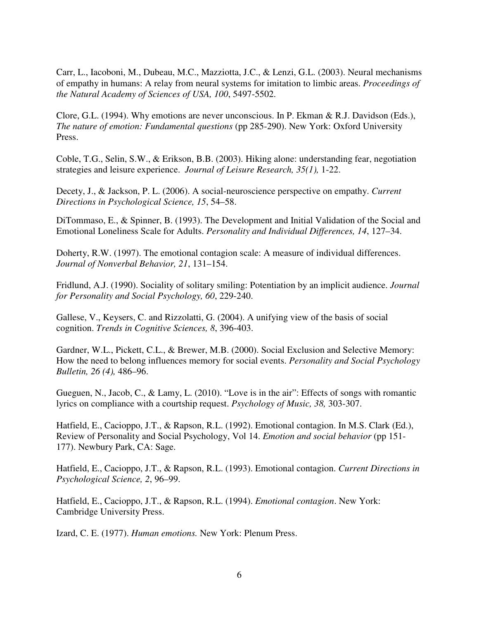Carr, L., Iacoboni, M., Dubeau, M.C., Mazziotta, J.C., & Lenzi, G.L. (2003). Neural mechanisms of empathy in humans: A relay from neural systems for imitation to limbic areas. *Proceedings of the Natural Academy of Sciences of USA, 100*, 5497-5502.

Clore, G.L. (1994). Why emotions are never unconscious. In P. Ekman & R.J. Davidson (Eds.), *The nature of emotion: Fundamental questions* (pp 285-290). New York: Oxford University Press.

Coble, T.G., Selin, S.W., & Erikson, B.B. (2003). Hiking alone: understanding fear, negotiation strategies and leisure experience. *Journal of Leisure Research, 35(1),* 1-22.

Decety, J., & Jackson, P. L. (2006). A social-neuroscience perspective on empathy. *Current Directions in Psychological Science, 15*, 54–58.

DiTommaso, E., & Spinner, B. (1993). The Development and Initial Validation of the Social and Emotional Loneliness Scale for Adults. *Personality and Individual Differences, 14*, 127–34.

Doherty, R.W. (1997). The emotional contagion scale: A measure of individual differences. *Journal of Nonverbal Behavior, 21*, 131–154.

Fridlund, A.J. (1990). Sociality of solitary smiling: Potentiation by an implicit audience. *Journal for Personality and Social Psychology, 60*, 229-240.

Gallese, V., Keysers, C. and Rizzolatti, G. (2004). A unifying view of the basis of social cognition. *Trends in Cognitive Sciences, 8*, 396-403.

Gardner, W.L., Pickett, C.L., & Brewer, M.B. (2000). Social Exclusion and Selective Memory: How the need to belong influences memory for social events. *Personality and Social Psychology Bulletin, 26 (4),* 486–96.

Gueguen, N., Jacob, C., & Lamy, L. (2010). "Love is in the air": Effects of songs with romantic lyrics on compliance with a courtship request. *Psychology of Music, 38,* 303-307.

Hatfield, E., Cacioppo, J.T., & Rapson, R.L. (1992). Emotional contagion. In M.S. Clark (Ed.), Review of Personality and Social Psychology, Vol 14. *Emotion and social behavior* (pp 151- 177). Newbury Park, CA: Sage.

Hatfield, E., Cacioppo, J.T., & Rapson, R.L. (1993). Emotional contagion. *Current Directions in Psychological Science, 2*, 96–99.

Hatfield, E., Cacioppo, J.T., & Rapson, R.L. (1994). *Emotional contagion*. New York: Cambridge University Press.

Izard, C. E. (1977). *Human emotions.* New York: Plenum Press.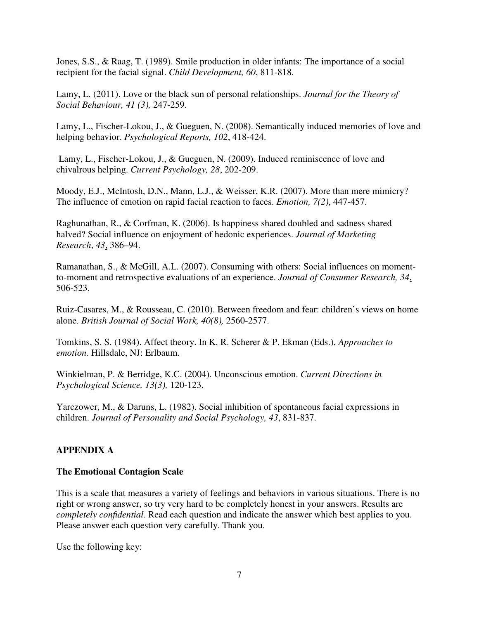Jones, S.S., & Raag, T. (1989). Smile production in older infants: The importance of a social recipient for the facial signal. *Child Development, 60*, 811-818.

Lamy, L. (2011). Love or the black sun of personal relationships. *Journal for the Theory of Social Behaviour, 41 (3),* 247-259.

Lamy, L., Fischer-Lokou, J., & Gueguen, N. (2008). Semantically induced memories of love and helping behavior. *Psychological Reports, 102*, 418-424.

 Lamy, L., Fischer-Lokou, J., & Gueguen, N. (2009). Induced reminiscence of love and chivalrous helping. *Current Psychology, 28*, 202-209.

Moody, E.J., McIntosh, D.N., Mann, L.J., & Weisser, K.R. (2007). More than mere mimicry? The influence of emotion on rapid facial reaction to faces. *Emotion, 7(2)*, 447-457.

Raghunathan, R., & Corfman, K. (2006). Is happiness shared doubled and sadness shared halved? Social influence on enjoyment of hedonic experiences. *Journal of Marketing Research*, *43*, 386–94.

Ramanathan, S., & McGill, A.L. (2007). Consuming with others: Social influences on momentto-moment and retrospective evaluations of an experience. *Journal of Consumer Research, 34*, 506-523.

Ruiz-Casares, M., & Rousseau, C. (2010). Between freedom and fear: children's views on home alone. *British Journal of Social Work, 40(8),* 2560-2577.

Tomkins, S. S. (1984). Affect theory. In K. R. Scherer & P. Ekman (Eds.), *Approaches to emotion.* Hillsdale, NJ: Erlbaum.

Winkielman, P. & Berridge, K.C. (2004). Unconscious emotion. *Current Directions in Psychological Science, 13(3),* 120-123.

Yarczower, M., & Daruns, L. (1982). Social inhibition of spontaneous facial expressions in children. *Journal of Personality and Social Psychology, 43*, 831-837.

# **APPENDIX A**

### **The Emotional Contagion Scale**

This is a scale that measures a variety of feelings and behaviors in various situations. There is no right or wrong answer, so try very hard to be completely honest in your answers. Results are *completely confidential.* Read each question and indicate the answer which best applies to you. Please answer each question very carefully. Thank you.

Use the following key: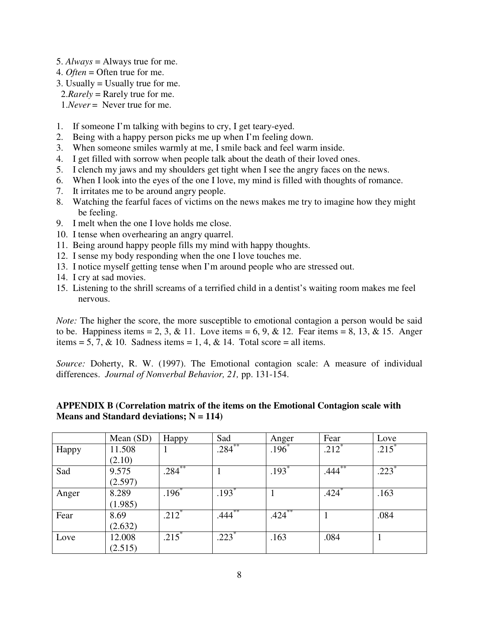- 5. *Always* = Always true for me.
- 4. *Often* = Often true for me.
- 3. Usually = Usually true for me.
- 2.*Rarely* = Rarely true for me.

1.*Never* = Never true for me.

- 1. If someone I'm talking with begins to cry, I get teary-eyed.
- 2. Being with a happy person picks me up when I'm feeling down.
- 3. When someone smiles warmly at me, I smile back and feel warm inside.
- 4. I get filled with sorrow when people talk about the death of their loved ones.
- 5. I clench my jaws and my shoulders get tight when I see the angry faces on the news.
- 6. When I look into the eyes of the one I love, my mind is filled with thoughts of romance.
- 7. It irritates me to be around angry people.
- 8. Watching the fearful faces of victims on the news makes me try to imagine how they might be feeling.
- 9. I melt when the one I love holds me close.
- 10. I tense when overhearing an angry quarrel.
- 11. Being around happy people fills my mind with happy thoughts.
- 12. I sense my body responding when the one I love touches me.
- 13. I notice myself getting tense when I'm around people who are stressed out.
- 14. I cry at sad movies.
- 15. Listening to the shrill screams of a terrified child in a dentist's waiting room makes me feel nervous.

*Note:* The higher the score, the more susceptible to emotional contagion a person would be said to be. Happiness items = 2, 3, & 11. Love items = 6, 9, & 12. Fear items = 8, 13, & 15. Anger items = 5, 7, & 10. Sadness items = 1, 4, & 14. Total score = all items.

*Source:* Doherty, R. W. (1997). The Emotional contagion scale: A measure of individual differences. *Journal of Nonverbal Behavior, 21,* pp. 131-154.

|       | Mean (SD) | Happy     | Sad       | Anger               | Fear       | Love                |
|-------|-----------|-----------|-----------|---------------------|------------|---------------------|
| Happy | 11.508    |           | $.284***$ | $.196^*$            | $.212^{*}$ | $.215$ <sup>*</sup> |
|       | (2.10)    |           |           |                     |            |                     |
| Sad   | 9.575     | $.284***$ |           | $\overline{.193}^*$ | $.444***$  | $.223*$             |
|       | (2.597)   |           |           |                     |            |                     |
| Anger | 8.289     | $.196^*$  | $.193*$   |                     | .424°      | .163                |
|       | (1.985)   |           |           |                     |            |                     |
| Fear  | 8.69      | $212^*$   | $.444***$ | .424                |            | .084                |
|       | (2.632)   |           |           |                     |            |                     |
| Love  | 12.008    | $215^*$   | $.223*$   | .163                | .084       |                     |
|       | (2.515)   |           |           |                     |            |                     |

### **APPENDIX B (Correlation matrix of the items on the Emotional Contagion scale with Means and Standard deviations; N = 114)**